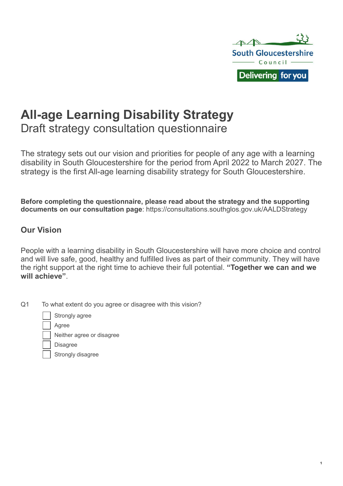

1

# **All-age Learning Disability Strategy** Draft strategy consultation questionnaire

The strategy sets out our vision and priorities for people of any age with a learning disability in South Gloucestershire for the period from April 2022 to March 2027. The strategy is the first All-age learning disability strategy for South Gloucestershire.

**Before completing the questionnaire, please read about the strategy and the supporting documents on our consultation page**: https://consultations.southglos.gov.uk/AALDStrategy

### **Our Vision**

People with a learning disability in South Gloucestershire will have more choice and control and will live safe, good, healthy and fulfilled lives as part of their community. They will have the right support at the right time to achieve their full potential. **"Together we can and we will achieve"**.

Q1 To what extent do you agree or disagree with this vision?

Strongly agree

Agree

Neither agree or disagree

Disagree

Strongly disagree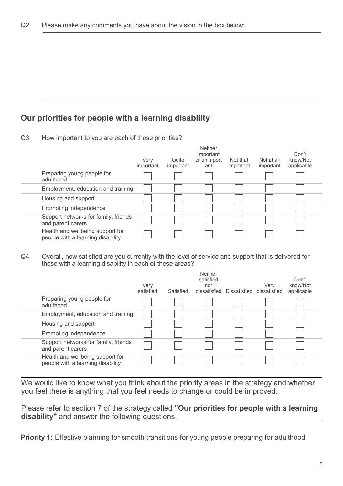## **Our priorities for people with a learning disability**

Q3 How important to you are each of these priorities?

|                                                                       | Verv<br>important | Quite<br>important | <b>Neither</b><br>important<br>or unimport<br>ant | Not that<br>important | Not at all<br>important | Don't<br>know/Not<br>applicable |
|-----------------------------------------------------------------------|-------------------|--------------------|---------------------------------------------------|-----------------------|-------------------------|---------------------------------|
| Preparing young people for<br>adulthood                               |                   |                    |                                                   |                       |                         |                                 |
| Employment, education and training                                    |                   |                    |                                                   |                       |                         |                                 |
| Housing and support                                                   |                   |                    |                                                   |                       |                         |                                 |
| Promoting independence                                                |                   |                    |                                                   |                       |                         |                                 |
| Support networks for family, friends<br>and parent carers             |                   |                    |                                                   |                       |                         |                                 |
| Health and wellbeing support for<br>people with a learning disability |                   |                    |                                                   |                       |                         |                                 |

Q4 Overall, how satisfied are you currently with the level of service and support that is delivered for those with a learning disability in each of these areas?

|                                                                       | Very<br>satisfied | Satisfied | <b>Neither</b><br>satisfied<br>nor<br>dissatisfied | Dissatisfied | Verv<br>dissatisfied | Don't<br>know/Not<br>applicable |
|-----------------------------------------------------------------------|-------------------|-----------|----------------------------------------------------|--------------|----------------------|---------------------------------|
| Preparing young people for<br>adulthood                               |                   |           |                                                    |              |                      |                                 |
| Employment, education and training                                    |                   |           |                                                    |              |                      |                                 |
| Housing and support                                                   |                   |           |                                                    |              |                      |                                 |
| Promoting independence                                                |                   |           |                                                    |              |                      |                                 |
| Support networks for family, friends<br>and parent carers             |                   |           |                                                    |              |                      |                                 |
| Health and wellbeing support for<br>people with a learning disability |                   |           |                                                    |              |                      |                                 |

We would like to know what you think about the priority areas in the strategy and whether you feel there is anything that you feel needs to change or could be improved.

Please refer to section 7 of the strategy called **"Our priorities for people with a learning disability"** and answer the following questions.

**Priority 1:** Effective planning for smooth transitions for young people preparing for adulthood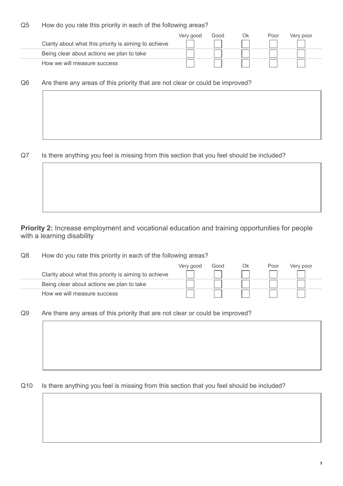Q5 How do you rate this priority in each of the following areas?

|                                                       | Very good | Good | Ok | Poor | Very poor |
|-------------------------------------------------------|-----------|------|----|------|-----------|
| Clarity about what this priority is aiming to achieve |           |      |    |      |           |
| Being clear about actions we plan to take             |           |      |    |      |           |
| How we will measure success                           |           |      |    |      |           |

Q6 Are there any areas of this priority that are not clear or could be improved?

Q7 Is there anything you feel is missing from this section that you feel should be included?

### **Priority 2:** Increase employment and vocational education and training opportunities for people with a learning disability

Q8 How do you rate this priority in each of the following areas?

|                                                       | Very good | Good | Ok | Poor | Very poor |
|-------------------------------------------------------|-----------|------|----|------|-----------|
| Clarity about what this priority is aiming to achieve |           |      |    |      |           |
| Being clear about actions we plan to take             |           |      |    |      |           |
| How we will measure success                           |           |      |    |      |           |

Q9 Are there any areas of this priority that are not clear or could be improved?

Q10 Is there anything you feel is missing from this section that you feel should be included?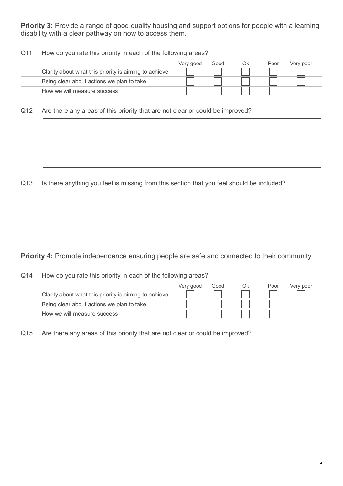**Priority 3:** Provide a range of good quality housing and support options for people with a learning disability with a clear pathway on how to access them.

Q11 How do you rate this priority in each of the following areas?

|                                                       | Very good | Good | Ok | Poor | Very poor |  |
|-------------------------------------------------------|-----------|------|----|------|-----------|--|
| Clarity about what this priority is aiming to achieve |           |      |    |      |           |  |
| Being clear about actions we plan to take             |           |      |    |      |           |  |
| How we will measure success                           |           |      |    |      |           |  |

Q12 Are there any areas of this priority that are not clear or could be improved?

Q13 Is there anything you feel is missing from this section that you feel should be included?

**Priority 4:** Promote independence ensuring people are safe and connected to their community

Q14 How do you rate this priority in each of the following areas?

|                                                       | Very good | Good | Ok | Poor | Very poor |
|-------------------------------------------------------|-----------|------|----|------|-----------|
| Clarity about what this priority is aiming to achieve |           |      |    |      |           |
| Being clear about actions we plan to take             |           |      |    |      |           |
| How we will measure success                           |           |      |    |      |           |

4

Q15 Are there any areas of this priority that are not clear or could be improved?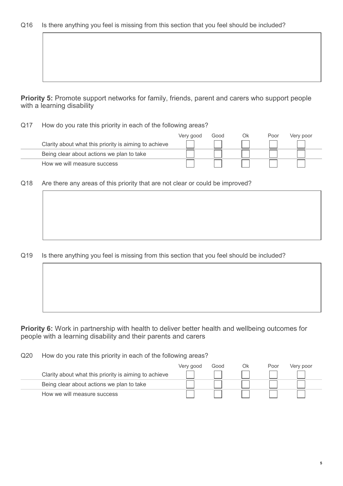| Q16 Is there anything you feel is missing from this section that you feel should be included? |  |
|-----------------------------------------------------------------------------------------------|--|
|-----------------------------------------------------------------------------------------------|--|

**Priority 5:** Promote support networks for family, friends, parent and carers who support people with a learning disability

Q17 How do you rate this priority in each of the following areas?

|                                                       | Very good | Good | Ok | Poor | Very poor |
|-------------------------------------------------------|-----------|------|----|------|-----------|
| Clarity about what this priority is aiming to achieve |           |      |    |      |           |
| Being clear about actions we plan to take             |           |      |    |      |           |
| How we will measure success                           |           |      |    |      |           |

Q18 Are there any areas of this priority that are not clear or could be improved?

Q19 Is there anything you feel is missing from this section that you feel should be included?

**Priority 6:** Work in partnership with health to deliver better health and wellbeing outcomes for people with a learning disability and their parents and carers

Q20 How do you rate this priority in each of the following areas?

|                                                       | Very good | Good | Ok | Poor | Very poor |
|-------------------------------------------------------|-----------|------|----|------|-----------|
| Clarity about what this priority is aiming to achieve |           |      |    |      |           |
| Being clear about actions we plan to take             |           |      |    |      |           |
| How we will measure success                           |           |      |    |      |           |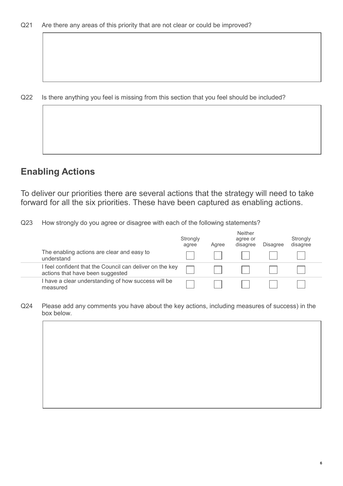Q22 Is there anything you feel is missing from this section that you feel should be included?

# **Enabling Actions**

To deliver our priorities there are several actions that the strategy will need to take forward for all the six priorities. These have been captured as enabling actions.

Q23 How strongly do you agree or disagree with each of the following statements?

|                                                                                              | Strongly<br>agree | Agree | <b>Neither</b><br>agree or<br>disagree | <b>Disagree</b> | Strongly<br>disagree |
|----------------------------------------------------------------------------------------------|-------------------|-------|----------------------------------------|-----------------|----------------------|
| The enabling actions are clear and easy to<br>understand                                     |                   |       |                                        |                 |                      |
| I feel confident that the Council can deliver on the key<br>actions that have been suggested |                   |       |                                        |                 |                      |
| I have a clear understanding of how success will be<br>measured                              |                   |       |                                        |                 |                      |

Q24 Please add any comments you have about the key actions, including measures of success) in the box below.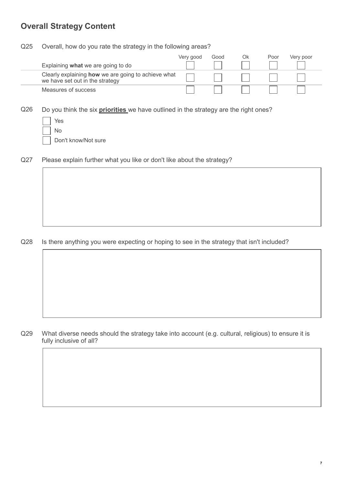### **Overall Strategy Content**

#### Q25 Overall, how do you rate the strategy in the following areas?

|                                                                                        | Very good | Good | Ok | Poor | Very poor |
|----------------------------------------------------------------------------------------|-----------|------|----|------|-----------|
| Explaining what we are going to do                                                     |           |      |    |      |           |
| Clearly explaining how we are going to achieve what<br>we have set out in the strategy |           |      |    |      |           |
| Measures of success                                                                    |           |      |    |      |           |

Q26 Do you think the six **priorities** we have outlined in the strategy are the right ones?

| Yes                 |
|---------------------|
| $\vert$ $\vert$ No  |
| Don't know/Not sure |

Q27 Please explain further what you like or don't like about the strategy?

#### Q28 Is there anything you were expecting or hoping to see in the strategy that isn't included?

Q29 What diverse needs should the strategy take into account (e.g. cultural, religious) to ensure it is fully inclusive of all?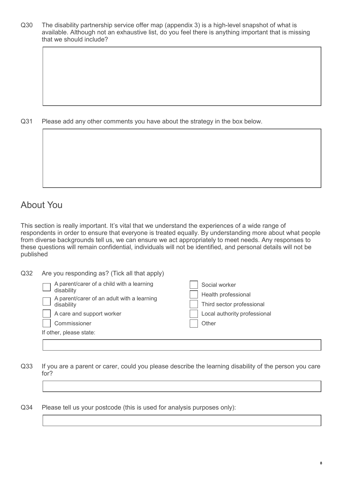Q30 The disability partnership service offer map (appendix 3) is a high-level snapshot of what is available. Although not an exhaustive list, do you feel there is anything important that is missing that we should include?

Q31 Please add any other comments you have about the strategy in the box below.

# About You

This section is really important. It's vital that we understand the experiences of a wide range of respondents in order to ensure that everyone is treated equally. By understanding more about what people from diverse backgrounds tell us, we can ensure we act appropriately to meet needs. Any responses to these questions will remain confidential, individuals will not be identified, and personal details will not be published

| Q <sub>32</sub> | Are you responding as? (Tick all that apply)                                                          |                                                                   |  |
|-----------------|-------------------------------------------------------------------------------------------------------|-------------------------------------------------------------------|--|
|                 | A parent/carer of a child with a learning<br>disability<br>A parent/carer of an adult with a learning | Social worker<br>Health professional<br>Third sector professional |  |
|                 | disability<br>A care and support worker<br>Commissioner                                               | Local authority professional<br>Other                             |  |
|                 | If other, please state:                                                                               |                                                                   |  |

Q33 If you are a parent or carer, could you please describe the learning disability of the person you care for?

Q34 Please tell us your postcode (this is used for analysis purposes only):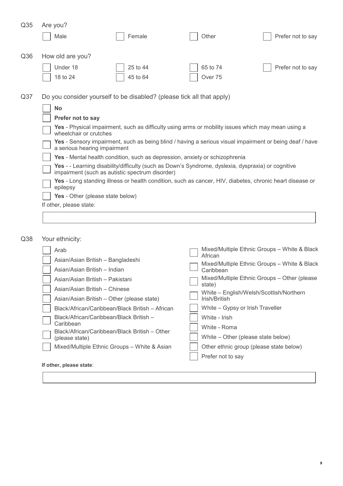| Q <sub>35</sub> | Are you?                                                                                                                                                                                                                                                                                                                                                                                                                                                                                                                                                                                                                                                     |                                                                       |          |                   |
|-----------------|--------------------------------------------------------------------------------------------------------------------------------------------------------------------------------------------------------------------------------------------------------------------------------------------------------------------------------------------------------------------------------------------------------------------------------------------------------------------------------------------------------------------------------------------------------------------------------------------------------------------------------------------------------------|-----------------------------------------------------------------------|----------|-------------------|
|                 | Male                                                                                                                                                                                                                                                                                                                                                                                                                                                                                                                                                                                                                                                         | Female                                                                | Other    | Prefer not to say |
| Q36             | How old are you?                                                                                                                                                                                                                                                                                                                                                                                                                                                                                                                                                                                                                                             |                                                                       |          |                   |
|                 | Under 18                                                                                                                                                                                                                                                                                                                                                                                                                                                                                                                                                                                                                                                     | 25 to 44                                                              | 65 to 74 | Prefer not to say |
|                 | 18 to 24                                                                                                                                                                                                                                                                                                                                                                                                                                                                                                                                                                                                                                                     | 45 to 64                                                              | Over 75  |                   |
| Q <sub>37</sub> |                                                                                                                                                                                                                                                                                                                                                                                                                                                                                                                                                                                                                                                              | Do you consider yourself to be disabled? (please tick all that apply) |          |                   |
|                 | <b>No</b>                                                                                                                                                                                                                                                                                                                                                                                                                                                                                                                                                                                                                                                    |                                                                       |          |                   |
|                 | Prefer not to say<br>Yes - Physical impairment, such as difficulty using arms or mobility issues which may mean using a<br>wheelchair or crutches<br>Yes - Sensory impairment, such as being blind / having a serious visual impairment or being deaf / have<br>a serious hearing impairment<br>Yes - Mental health condition, such as depression, anxiety or schizophrenia<br>Yes - - Learning disability/difficulty (such as Down's Syndrome, dyslexia, dyspraxia) or cognitive<br>impairment (such as autistic spectrum disorder)<br>Yes - Long standing illness or health condition, such as cancer, HIV, diabetes, chronic heart disease or<br>epilepsy |                                                                       |          |                   |
|                 |                                                                                                                                                                                                                                                                                                                                                                                                                                                                                                                                                                                                                                                              |                                                                       |          |                   |
|                 |                                                                                                                                                                                                                                                                                                                                                                                                                                                                                                                                                                                                                                                              |                                                                       |          |                   |
|                 |                                                                                                                                                                                                                                                                                                                                                                                                                                                                                                                                                                                                                                                              |                                                                       |          |                   |
|                 |                                                                                                                                                                                                                                                                                                                                                                                                                                                                                                                                                                                                                                                              |                                                                       |          |                   |
|                 |                                                                                                                                                                                                                                                                                                                                                                                                                                                                                                                                                                                                                                                              |                                                                       |          |                   |
|                 | Yes - Other (please state below)                                                                                                                                                                                                                                                                                                                                                                                                                                                                                                                                                                                                                             |                                                                       |          |                   |
|                 | If other, please state:                                                                                                                                                                                                                                                                                                                                                                                                                                                                                                                                                                                                                                      |                                                                       |          |                   |
|                 |                                                                                                                                                                                                                                                                                                                                                                                                                                                                                                                                                                                                                                                              |                                                                       |          |                   |
|                 |                                                                                                                                                                                                                                                                                                                                                                                                                                                                                                                                                                                                                                                              |                                                                       |          |                   |

| Q38 |  | Your ethnicity: |
|-----|--|-----------------|
|-----|--|-----------------|

| Arab                                                            | Mixed/Multiple Ethnic Groups - White & Black<br>African |  |  |
|-----------------------------------------------------------------|---------------------------------------------------------|--|--|
| Asian/Asian British - Bangladeshi                               | Mixed/Multiple Ethnic Groups - White & Black            |  |  |
| Asian/Asian British - Indian                                    | Caribbean                                               |  |  |
| Asian/Asian British - Pakistani                                 | Mixed/Multiple Ethnic Groups - Other (please<br>state)  |  |  |
| Asian/Asian British - Chinese                                   | White - English/Welsh/Scottish/Northern                 |  |  |
| Asian/Asian British – Other (please state)                      | Irish/British                                           |  |  |
| Black/African/Caribbean/Black British – African                 | White - Gypsy or Irish Traveller                        |  |  |
| Black/African/Caribbean/Black British -                         | White - Irish                                           |  |  |
| Caribbean                                                       | White - Roma                                            |  |  |
| Black/African/Caribbean/Black British – Other<br>(please state) | White – Other (please state below)                      |  |  |
| Mixed/Multiple Ethnic Groups - White & Asian                    | Other ethnic group (please state below)                 |  |  |
|                                                                 | Prefer not to say                                       |  |  |
| If other, please state:                                         |                                                         |  |  |